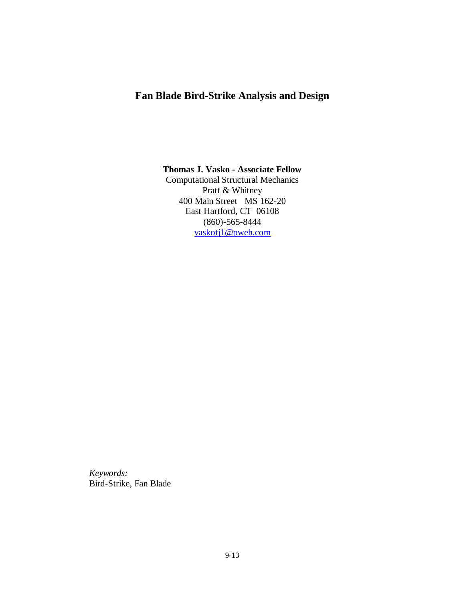# **Fan Blade Bird-Strike Analysis and Design**

# **Thomas J. Vasko - Associate Fellow**

Computational Structural Mechanics Pratt & Whitney 400 Main Street MS 162-20 East Hartford, CT 06108 (860)-565-8444 vaskotj1@pweh.com

*Keywords:* Bird-Strike, Fan Blade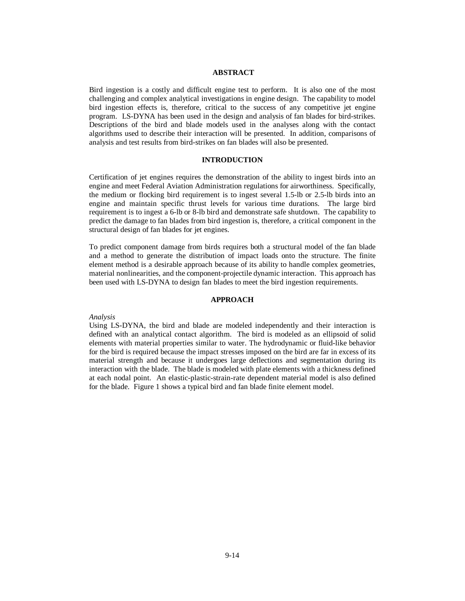#### **ABSTRACT**

Bird ingestion is a costly and difficult engine test to perform. It is also one of the most challenging and complex analytical investigations in engine design. The capability to model bird ingestion effects is, therefore, critical to the success of any competitive jet engine program. LS-DYNA has been used in the design and analysis of fan blades for bird-strikes. Descriptions of the bird and blade models used in the analyses along with the contact algorithms used to describe their interaction will be presented. In addition, comparisons of analysis and test results from bird-strikes on fan blades will also be presented.

#### **INTRODUCTION**

Certification of jet engines requires the demonstration of the ability to ingest birds into an engine and meet Federal Aviation Administration regulations for airworthiness. Specifically, the medium or flocking bird requirement is to ingest several 1.5-lb or 2.5-lb birds into an engine and maintain specific thrust levels for various time durations. The large bird requirement is to ingest a 6-lb or 8-lb bird and demonstrate safe shutdown. The capability to predict the damage to fan blades from bird ingestion is, therefore, a critical component in the structural design of fan blades for jet engines.

To predict component damage from birds requires both a structural model of the fan blade and a method to generate the distribution of impact loads onto the structure. The finite element method is a desirable approach because of its ability to handle complex geometries, material nonlinearities, and the component-projectile dynamic interaction. This approach has been used with LS-DYNA to design fan blades to meet the bird ingestion requirements.

## **APPROACH**

#### *Analysis*

Using LS-DYNA, the bird and blade are modeled independently and their interaction is defined with an analytical contact algorithm. The bird is modeled as an ellipsoid of solid elements with material properties similar to water. The hydrodynamic or fluid-like behavior for the bird is required because the impact stresses imposed on the bird are far in excess of its material strength and because it undergoes large deflections and segmentation during its interaction with the blade. The blade is modeled with plate elements with a thickness defined at each nodal point. An elastic-plastic-strain-rate dependent material model is also defined for the blade. Figure 1 shows a typical bird and fan blade finite element model.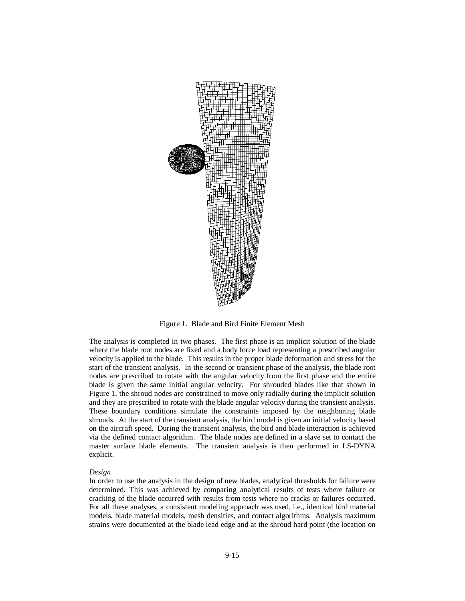

Figure 1. Blade and Bird Finite Element Mesh

The analysis is completed in two phases. The first phase is an implicit solution of the blade where the blade root nodes are fixed and a body force load representing a prescribed angular velocity is applied to the blade. This results in the proper blade deformation and stress for the start of the transient analysis. In the second or transient phase of the analysis, the blade root nodes are prescribed to rotate with the angular velocity from the first phase and the entire blade is given the same initial angular velocity. For shrouded blades like that shown in Figure 1, the shroud nodes are constrained to move only radially during the implicit solution and they are prescribed to rotate with the blade angular velocity during the transient analysis. These boundary conditions simulate the constraints imposed by the neighboring blade shrouds. At the start of the transient analysis, the bird model is given an initial velocity based on the aircraft speed. During the transient analysis, the bird and blade interaction is achieved via the defined contact algorithm. The blade nodes are defined in a slave set to contact the master surface blade elements. The transient analysis is then performed in LS-DYNA explicit.

#### *Design*

In order to use the analysis in the design of new blades, analytical thresholds for failure were determined. This was achieved by comparing analytical results of tests where failure or cracking of the blade occurred with results from tests where no cracks or failures occurred. For all these analyses, a consistent modeling approach was used, i.e., identical bird material models, blade material models, mesh densities, and contact algorithms. Analysis maximum strains were documented at the blade lead edge and at the shroud hard point (the location on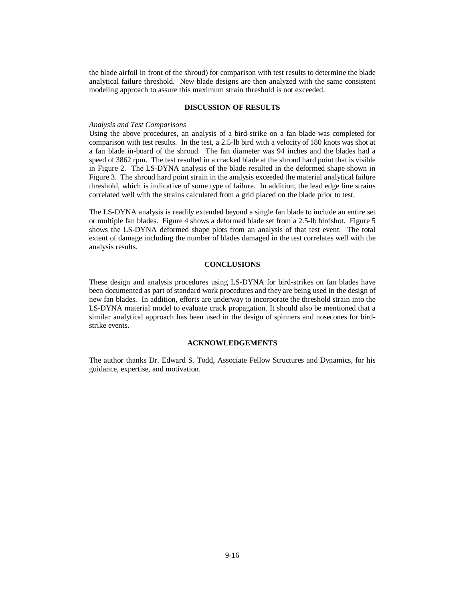the blade airfoil in front of the shroud) for comparison with test results to determine the blade analytical failure threshold. New blade designs are then analyzed with the same consistent modeling approach to assure this maximum strain threshold is not exceeded.

### **DISCUSSION OF RESULTS**

#### *Analysis and Test Comparisons*

Using the above procedures, an analysis of a bird-strike on a fan blade was completed for comparison with test results. In the test, a 2.5-lb bird with a velocity of 180 knots was shot at a fan blade in-board of the shroud. The fan diameter was 94 inches and the blades had a speed of 3862 rpm. The test resulted in a cracked blade at the shroud hard point that is visible in Figure 2. The LS-DYNA analysis of the blade resulted in the deformed shape shown in Figure 3. The shroud hard point strain in the analysis exceeded the material analytical failure threshold, which is indicative of some type of failure. In addition, the lead edge line strains correlated well with the strains calculated from a grid placed on the blade prior to test.

The LS-DYNA analysis is readily extended beyond a single fan blade to include an entire set or multiple fan blades. Figure 4 shows a deformed blade set from a 2.5-lb birdshot. Figure 5 shows the LS-DYNA deformed shape plots from an analysis of that test event. The total extent of damage including the number of blades damaged in the test correlates well with the analysis results.

#### **CONCLUSIONS**

These design and analysis procedures using LS-DYNA for bird-strikes on fan blades have been documented as part of standard work procedures and they are being used in the design of new fan blades. In addition, efforts are underway to incorporate the threshold strain into the LS-DYNA material model to evaluate crack propagation. It should also be mentioned that a similar analytical approach has been used in the design of spinners and nosecones for birdstrike events.

#### **ACKNOWLEDGEMENTS**

The author thanks Dr. Edward S. Todd, Associate Fellow Structures and Dynamics, for his guidance, expertise, and motivation.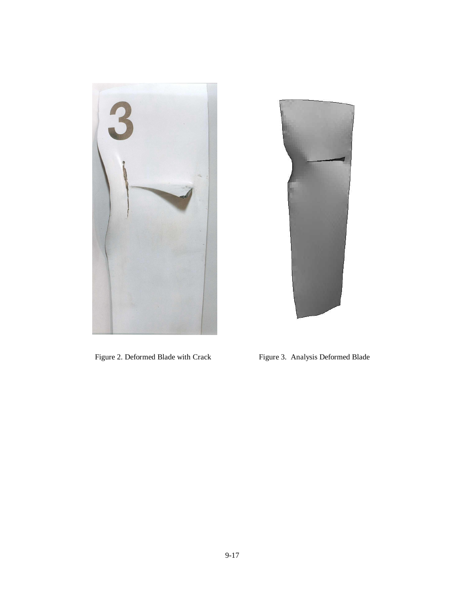



Figure 2. Deformed Blade with Crack Figure 3. Analysis Deformed Blade